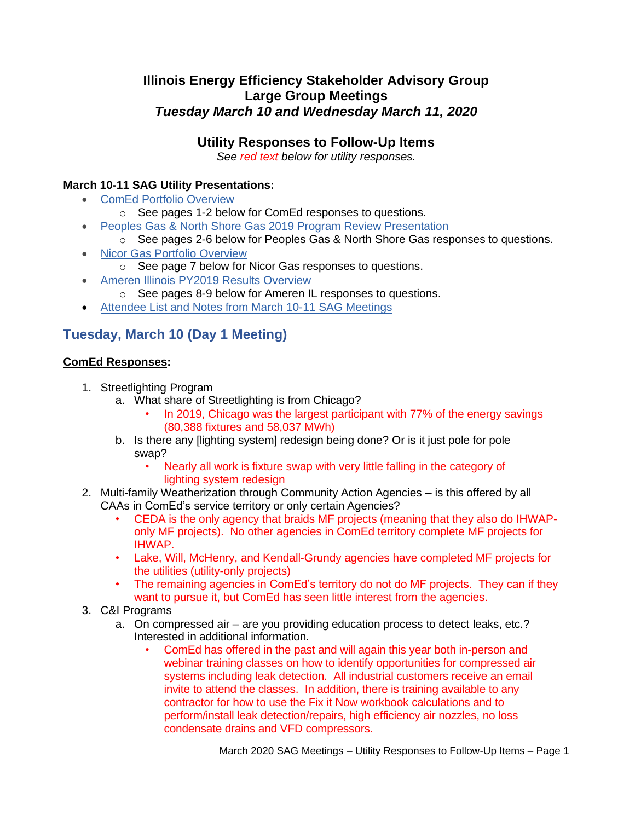## **Illinois Energy Efficiency Stakeholder Advisory Group Large Group Meetings** *Tuesday March 10 and Wednesday March 11, 2020*

## **Utility Responses to Follow-Up Items**

*See red text below for utility responses.*

### **March 10-11 SAG Utility Presentations:**

- [ComEd Portfolio Overview](https://s3.amazonaws.com/ilsag/ComEd_2020-March-SAG_Final.pdf)
	- o See pages 1-2 below for ComEd responses to questions.
- [Peoples Gas & North Shore Gas 2019 Program Review Presentation](https://s3.amazonaws.com/ilsag/PGL-NSG_2019-Q4-SAG_FINAL_3-10-2020.pdf)
	- o See pages 2-6 below for Peoples Gas & North Shore Gas responses to questions.
- [Nicor Gas Portfolio Overview](https://s3.amazonaws.com/ilsag/Nicor-Gas-EE-Portfolio-Overview-SAG-3-11-20-Final-1.pdf)
	- o See page 7 below for Nicor Gas responses to questions.
- [Ameren Illinois PY2019 Results Overview](https://s3.amazonaws.com/ilsag/AIC-PY2019-Presentation-SAG-MAR_Final-Version.pdf)
	- o See pages 8-9 below for Ameren IL responses to questions.
- [Attendee List and Notes from March 10-11 SAG Meetings](https://s3.amazonaws.com/ilsag/SAG_March_10-11-2020_Meetings_Attendees_and_Notes_Final.pdf)

## **Tuesday, March 10 (Day 1 Meeting)**

### **ComEd Responses:**

- 1. Streetlighting Program
	- a. What share of Streetlighting is from Chicago?
		- In 2019, Chicago was the largest participant with 77% of the energy savings (80,388 fixtures and 58,037 MWh)
	- b. Is there any [lighting system] redesign being done? Or is it just pole for pole swap?
		- Nearly all work is fixture swap with very little falling in the category of lighting system redesign
- 2. Multi-family Weatherization through Community Action Agencies is this offered by all CAAs in ComEd's service territory or only certain Agencies?
	- CEDA is the only agency that braids MF projects (meaning that they also do IHWAPonly MF projects). No other agencies in ComEd territory complete MF projects for IHWAP.
	- Lake, Will, McHenry, and Kendall-Grundy agencies have completed MF projects for the utilities (utility-only projects)
	- The remaining agencies in ComEd's territory do not do MF projects. They can if they want to pursue it, but ComEd has seen little interest from the agencies.
- 3. C&I Programs
	- a. On compressed air are you providing education process to detect leaks, etc.? Interested in additional information.
		- ComEd has offered in the past and will again this year both in-person and webinar training classes on how to identify opportunities for compressed air systems including leak detection. All industrial customers receive an email invite to attend the classes. In addition, there is training available to any contractor for how to use the Fix it Now workbook calculations and to perform/install leak detection/repairs, high efficiency air nozzles, no loss condensate drains and VFD compressors.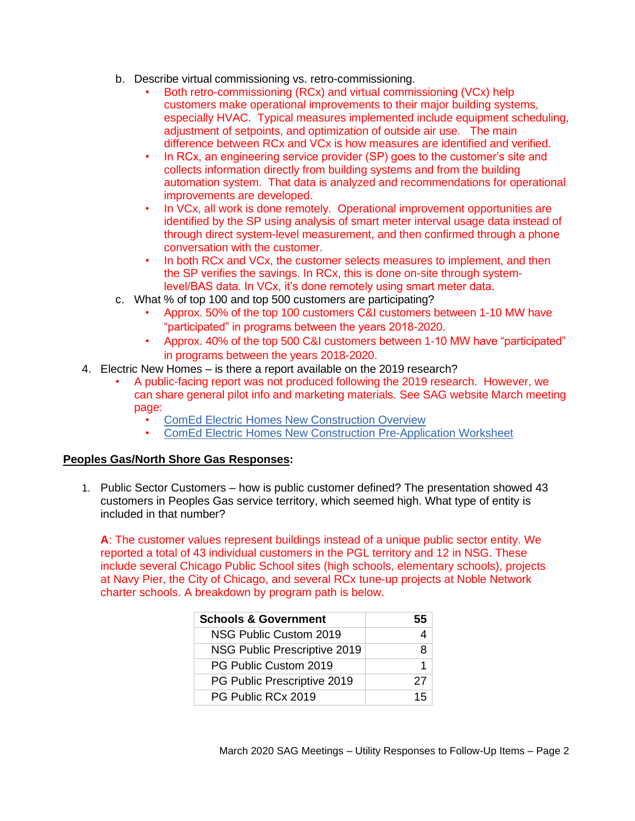- b. Describe virtual commissioning vs. retro-commissioning.
	- Both retro-commissioning (RCx) and virtual commissioning (VCx) help customers make operational improvements to their major building systems, especially HVAC. Typical measures implemented include equipment scheduling, adjustment of setpoints, and optimization of outside air use. The main difference between RCx and VCx is how measures are identified and verified.
	- In RCx, an engineering service provider (SP) goes to the customer's site and collects information directly from building systems and from the building automation system. That data is analyzed and recommendations for operational improvements are developed.
	- In VCx, all work is done remotely. Operational improvement opportunities are identified by the SP using analysis of smart meter interval usage data instead of through direct system-level measurement, and then confirmed through a phone conversation with the customer.
	- In both RCx and VCx, the customer selects measures to implement, and then the SP verifies the savings. In RCx, this is done on-site through systemlevel/BAS data. In VCx, it's done remotely using smart meter data.
- c. What % of top 100 and top 500 customers are participating?
	- Approx. 50% of the top 100 customers C&I customers between 1-10 MW have "participated" in programs between the years 2018-2020.
	- Approx. 40% of the top 500 C&I customers between 1-10 MW have "participated" in programs between the years 2018-2020.
- 4. Electric New Homes is there a report available on the 2019 research?
	- A public-facing report was not produced following the 2019 research. However, we can share general pilot info and marketing materials. See SAG website March meeting page:
		- [ComEd Electric Homes New Construction Overview](https://s3.amazonaws.com/ilsag/ComEd-EHNC-Presentation_CEE-ETC.pdf)
		- [ComEd Electric Homes New Construction Pre-Application Worksheet](https://s3.amazonaws.com/ilsag/ComEd-EHNC-Overview-Pre-Application_FINAL.pdf)

### **Peoples Gas/North Shore Gas Responses:**

1. Public Sector Customers – how is public customer defined? The presentation showed 43 customers in Peoples Gas service territory, which seemed high. What type of entity is included in that number?

**A**: The customer values represent buildings instead of a unique public sector entity. We reported a total of 43 individual customers in the PGL territory and 12 in NSG. These include several Chicago Public School sites (high schools, elementary schools), projects at Navy Pier, the City of Chicago, and several RCx tune-up projects at Noble Network charter schools. A breakdown by program path is below.

| <b>Schools &amp; Government</b> |    |
|---------------------------------|----|
| NSG Public Custom 2019          |    |
| NSG Public Prescriptive 2019    | 8  |
| PG Public Custom 2019           |    |
| PG Public Prescriptive 2019     | 27 |
| PG Public RCx 2019              | 15 |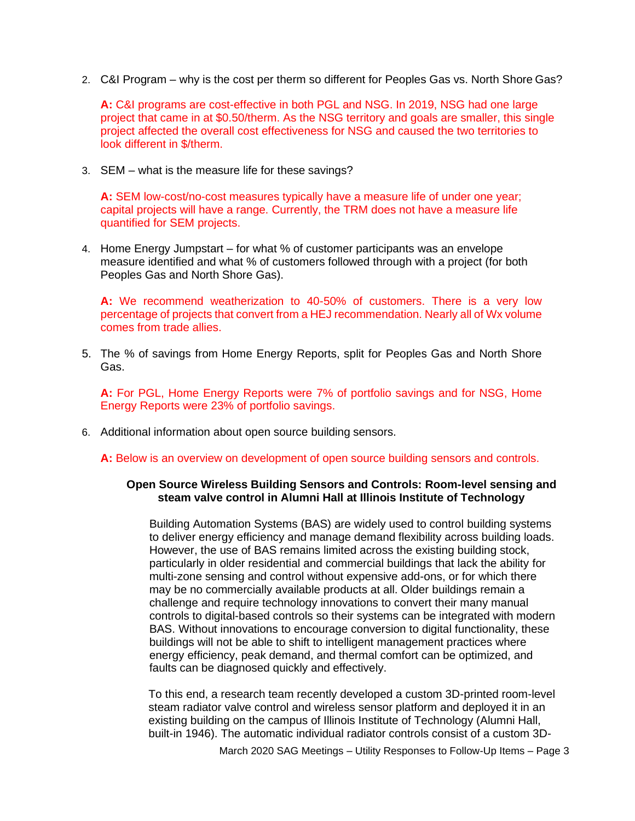2. C&I Program – why is the cost per therm so different for Peoples Gas vs. North Shore Gas?

**A:** C&I programs are cost-effective in both PGL and NSG. In 2019, NSG had one large project that came in at \$0.50/therm. As the NSG territory and goals are smaller, this single project affected the overall cost effectiveness for NSG and caused the two territories to look different in \$/therm.

3. SEM – what is the measure life for these savings?

**A:** SEM low-cost/no-cost measures typically have a measure life of under one year; capital projects will have a range. Currently, the TRM does not have a measure life quantified for SEM projects.

4. Home Energy Jumpstart – for what % of customer participants was an envelope measure identified and what % of customers followed through with a project (for both Peoples Gas and North Shore Gas).

**A:** We recommend weatherization to 40-50% of customers. There is a very low percentage of projects that convert from a HEJ recommendation. Nearly all of Wx volume comes from trade allies.

5. The % of savings from Home Energy Reports, split for Peoples Gas and North Shore Gas.

**A:** For PGL, Home Energy Reports were 7% of portfolio savings and for NSG, Home Energy Reports were 23% of portfolio savings.

6. Additional information about open source building sensors.

**A:** Below is an overview on development of open source building sensors and controls.

#### **Open Source Wireless Building Sensors and Controls: Room-level sensing and steam valve control in Alumni Hall at Illinois Institute of Technology**

Building Automation Systems (BAS) are widely used to control building systems to deliver energy efficiency and manage demand flexibility across building loads. However, the use of BAS remains limited across the existing building stock, particularly in older residential and commercial buildings that lack the ability for multi-zone sensing and control without expensive add-ons, or for which there may be no commercially available products at all. Older buildings remain a challenge and require technology innovations to convert their many manual controls to digital-based controls so their systems can be integrated with modern BAS. Without innovations to encourage conversion to digital functionality, these buildings will not be able to shift to intelligent management practices where energy efficiency, peak demand, and thermal comfort can be optimized, and faults can be diagnosed quickly and effectively.

To this end, a research team recently developed a custom 3D-printed room-level steam radiator valve control and wireless sensor platform and deployed it in an existing building on the campus of Illinois Institute of Technology (Alumni Hall, built-in 1946). The automatic individual radiator controls consist of a custom 3D-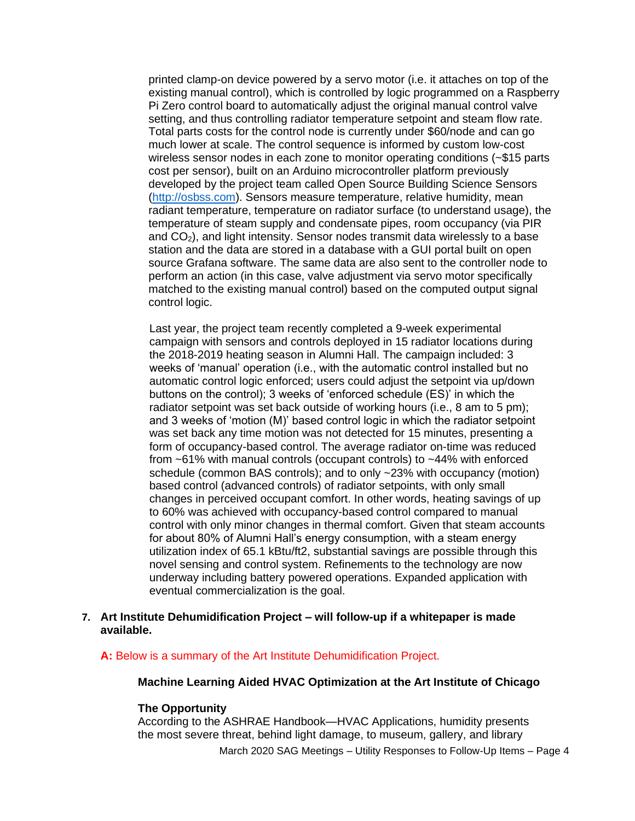printed clamp-on device powered by a servo motor (i.e. it attaches on top of the existing manual control), which is controlled by logic programmed on a Raspberry Pi Zero control board to automatically adjust the original manual control valve setting, and thus controlling radiator temperature setpoint and steam flow rate. Total parts costs for the control node is currently under \$60/node and can go much lower at scale. The control sequence is informed by custom low-cost wireless sensor nodes in each zone to monitor operating conditions (~\$15 parts cost per sensor), built on an Arduino microcontroller platform previously developed by the project team called Open Source Building Science Sensor[s](http://osbss.com/) [\(http://osbss.com\).](http://osbss.com/) Sensors measure temperature, relative humidity, mean radiant temperature, temperature on radiator surface (to understand usage), the temperature of steam supply and condensate pipes, room occupancy (via PIR and  $CO<sub>2</sub>$ ), and light intensity. Sensor nodes transmit data wirelessly to a base station and the data are stored in a database with a GUI portal built on open source Grafana software. The same data are also sent to the controller node to perform an action (in this case, valve adjustment via servo motor specifically matched to the existing manual control) based on the computed output signal control logic.

Last year, the project team recently completed a 9-week experimental campaign with sensors and controls deployed in 15 radiator locations during the 2018-2019 heating season in Alumni Hall. The campaign included: 3 weeks of 'manual' operation (i.e., with the automatic control installed but no automatic control logic enforced; users could adjust the setpoint via up/down buttons on the control); 3 weeks of 'enforced schedule (ES)' in which the radiator setpoint was set back outside of working hours (i.e., 8 am to 5 pm); and 3 weeks of 'motion (M)' based control logic in which the radiator setpoint was set back any time motion was not detected for 15 minutes, presenting a form of occupancy-based control. The average radiator on-time was reduced from ~61% with manual controls (occupant controls) to ~44% with enforced schedule (common BAS controls); and to only ~23% with occupancy (motion) based control (advanced controls) of radiator setpoints, with only small changes in perceived occupant comfort. In other words, heating savings of up to 60% was achieved with occupancy-based control compared to manual control with only minor changes in thermal comfort. Given that steam accounts for about 80% of Alumni Hall's energy consumption, with a steam energy utilization index of 65.1 kBtu/ft2, substantial savings are possible through this novel sensing and control system. Refinements to the technology are now underway including battery powered operations. Expanded application with eventual commercialization is the goal.

#### **7. Art Institute Dehumidification Project – will follow-up if a whitepaper is made available.**

**A:** Below is a summary of the Art Institute Dehumidification Project.

#### **Machine Learning Aided HVAC Optimization at the Art Institute of Chicago**

#### **The Opportunity**

According to the ASHRAE Handbook—HVAC Applications, humidity presents the most severe threat, behind light damage, to museum, gallery, and library

March 2020 SAG Meetings – Utility Responses to Follow-Up Items – Page 4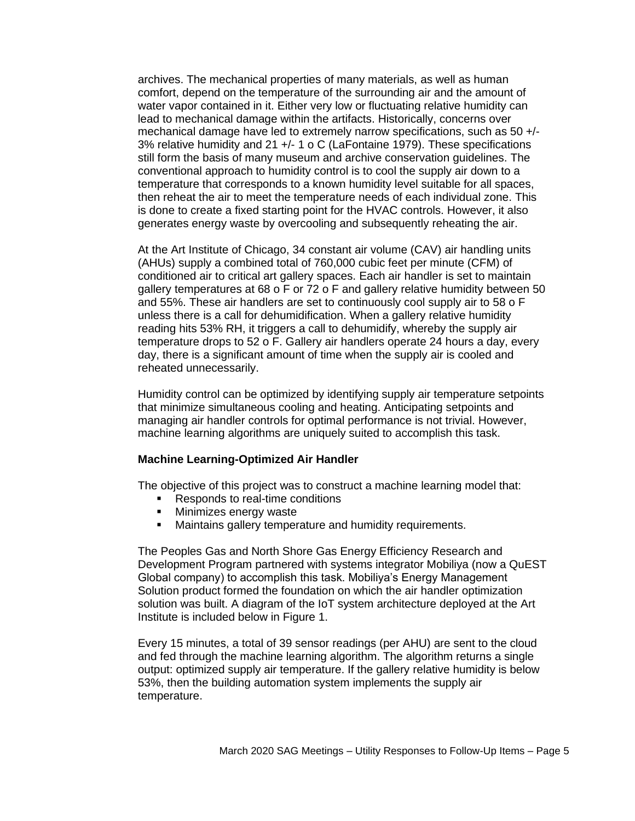archives. The mechanical properties of many materials, as well as human comfort, depend on the temperature of the surrounding air and the amount of water vapor contained in it. Either very low or fluctuating relative humidity can lead to mechanical damage within the artifacts. Historically, concerns over mechanical damage have led to extremely narrow specifications, such as 50 +/- 3% relative humidity and 21 +/- 1 o C (LaFontaine 1979). These specifications still form the basis of many museum and archive conservation guidelines. The conventional approach to humidity control is to cool the supply air down to a temperature that corresponds to a known humidity level suitable for all spaces, then reheat the air to meet the temperature needs of each individual zone. This is done to create a fixed starting point for the HVAC controls. However, it also generates energy waste by overcooling and subsequently reheating the air.

At the Art Institute of Chicago, 34 constant air volume (CAV) air handling units (AHUs) supply a combined total of 760,000 cubic feet per minute (CFM) of conditioned air to critical art gallery spaces. Each air handler is set to maintain gallery temperatures at 68 o F or 72 o F and gallery relative humidity between 50 and 55%. These air handlers are set to continuously cool supply air to 58 o F unless there is a call for dehumidification. When a gallery relative humidity reading hits 53% RH, it triggers a call to dehumidify, whereby the supply air temperature drops to 52 o F. Gallery air handlers operate 24 hours a day, every day, there is a significant amount of time when the supply air is cooled and reheated unnecessarily.

Humidity control can be optimized by identifying supply air temperature setpoints that minimize simultaneous cooling and heating. Anticipating setpoints and managing air handler controls for optimal performance is not trivial. However, machine learning algorithms are uniquely suited to accomplish this task.

#### **Machine Learning-Optimized Air Handler**

The objective of this project was to construct a machine learning model that:

- Responds to real-time conditions
- Minimizes energy waste
- Maintains gallery temperature and humidity requirements.

The Peoples Gas and North Shore Gas Energy Efficiency Research and Development Program partnered with systems integrator Mobiliya (now a QuEST Global company) to accomplish this task. Mobiliya's Energy Management Solution product formed the foundation on which the air handler optimization solution was built. A diagram of the IoT system architecture deployed at the Art Institute is included below in Figure 1.

Every 15 minutes, a total of 39 sensor readings (per AHU) are sent to the cloud and fed through the machine learning algorithm. The algorithm returns a single output: optimized supply air temperature. If the gallery relative humidity is below 53%, then the building automation system implements the supply air temperature.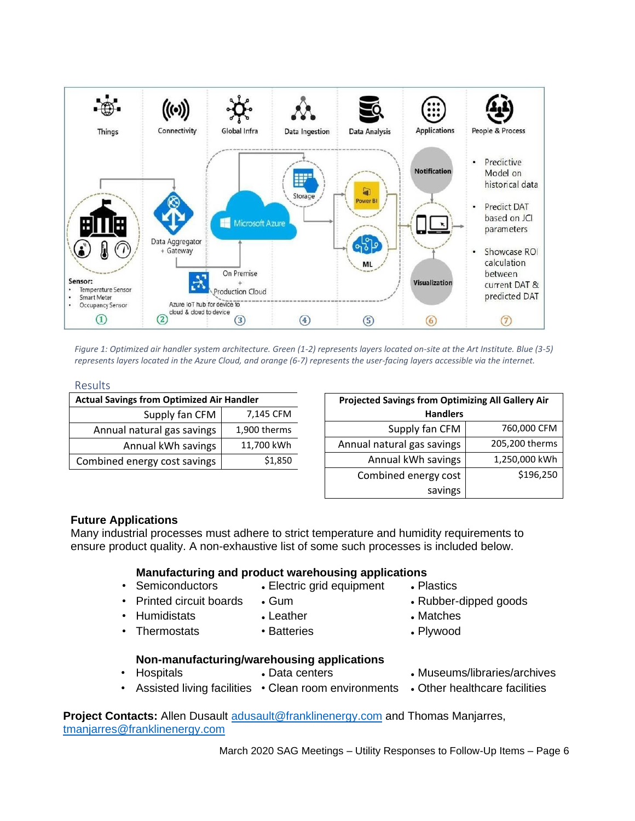

*Figure 1: Optimized air handler system architecture. Green (1-2) represents layers located on-site at the Art Institute. Blue (3-5) represents layers located in the Azure Cloud, and orange (6-7) represents the user-facing layers accessible via the internet.*

#### Results

| <b>Actual Savings from Optimized Air Handler</b> |              |  |  |
|--------------------------------------------------|--------------|--|--|
| Supply fan CFM                                   | 7,145 CFM    |  |  |
| Annual natural gas savings                       | 1,900 therms |  |  |
| Annual kWh savings                               | 11,700 kWh   |  |  |
| Combined energy cost savings                     | \$1,850      |  |  |

| <b>Projected Savings from Optimizing All Gallery Air</b> |                |  |  |
|----------------------------------------------------------|----------------|--|--|
| <b>Handlers</b>                                          |                |  |  |
| Supply fan CFM                                           | 760,000 CFM    |  |  |
| Annual natural gas savings                               | 205,200 therms |  |  |
| Annual kWh savings                                       | 1,250,000 kWh  |  |  |
| Combined energy cost                                     | \$196,250      |  |  |
| savings                                                  |                |  |  |

#### **Future Applications**

Many industrial processes must adhere to strict temperature and humidity requirements to ensure product quality. A non-exhaustive list of some such processes is included below.

#### **Manufacturing and product warehousing applications**

- 
- Semiconductors Electric grid equipment Plastics
	-
	- Printed circuit boards Gum Rubber-dipped goods
		-
- 
- 
- Humidistats Leather Matches
- Thermostats Batteries • Plywood

#### **Non-manufacturing/warehousing applications**

- Hospitals Data centers Museums/libraries/archives
	-
- 
- Assisted living facilities Clean room environments Other healthcare facilities
- **Project Contacts:** Allen Dusault [adusault@franklinenergy.com](mailto:adusault@franklinenergy.com) and Thomas Manjarres, [tmanjarres@franklinenergy.com](mailto:tmanjarres@franklinenergy.com)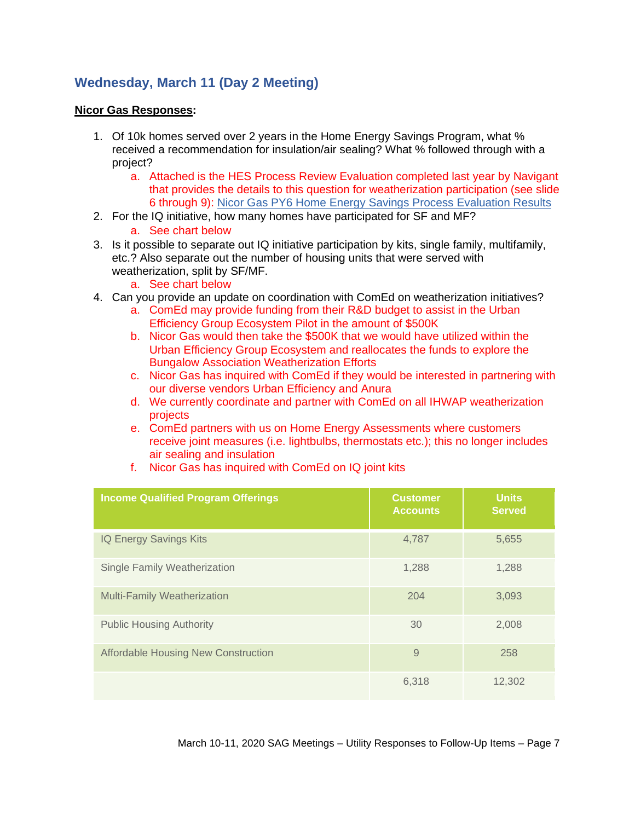# **Wednesday, March 11 (Day 2 Meeting)**

#### **Nicor Gas Responses:**

- 1. Of 10k homes served over 2 years in the Home Energy Savings Program, what % received a recommendation for insulation/air sealing? What % followed through with a project?
	- a. Attached is the HES Process Review Evaluation completed last year by Navigant that provides the details to this question for weatherization participation (see slide 6 through 9): [Nicor Gas PY6 Home Energy Savings Process Evaluation Results](https://s3.amazonaws.com/ilsag/Nicor-Gas-HES-Process-Evaluation-PY6-CY2018-2019-10-09-1.pdf)
- 2. For the IQ initiative, how many homes have participated for SF and MF?
	- a. See chart below
- 3. Is it possible to separate out IQ initiative participation by kits, single family, multifamily, etc.? Also separate out the number of housing units that were served with weatherization, split by SF/MF.
	- a. See chart below
- 4. Can you provide an update on coordination with ComEd on weatherization initiatives?
	- a. ComEd may provide funding from their R&D budget to assist in the Urban Efficiency Group Ecosystem Pilot in the amount of \$500K
	- b. Nicor Gas would then take the \$500K that we would have utilized within the Urban Efficiency Group Ecosystem and reallocates the funds to explore the Bungalow Association Weatherization Efforts
	- c. Nicor Gas has inquired with ComEd if they would be interested in partnering with our diverse vendors Urban Efficiency and Anura
	- d. We currently coordinate and partner with ComEd on all IHWAP weatherization projects
	- e. ComEd partners with us on Home Energy Assessments where customers receive joint measures (i.e. lightbulbs, thermostats etc.); this no longer includes air sealing and insulation

| <b>Income Qualified Program Offerings</b>  | <b>Customer</b><br><b>Accounts</b> | <b>Units</b><br><b>Served</b> |
|--------------------------------------------|------------------------------------|-------------------------------|
| IQ Energy Savings Kits                     | 4,787                              | 5,655                         |
| Single Family Weatherization               | 1,288                              | 1,288                         |
| <b>Multi-Family Weatherization</b>         | 204                                | 3,093                         |
| <b>Public Housing Authority</b>            | 30                                 | 2,008                         |
| <b>Affordable Housing New Construction</b> | 9                                  | 258                           |
|                                            | 6,318                              | 12,302                        |

f. Nicor Gas has inquired with ComEd on IQ joint kits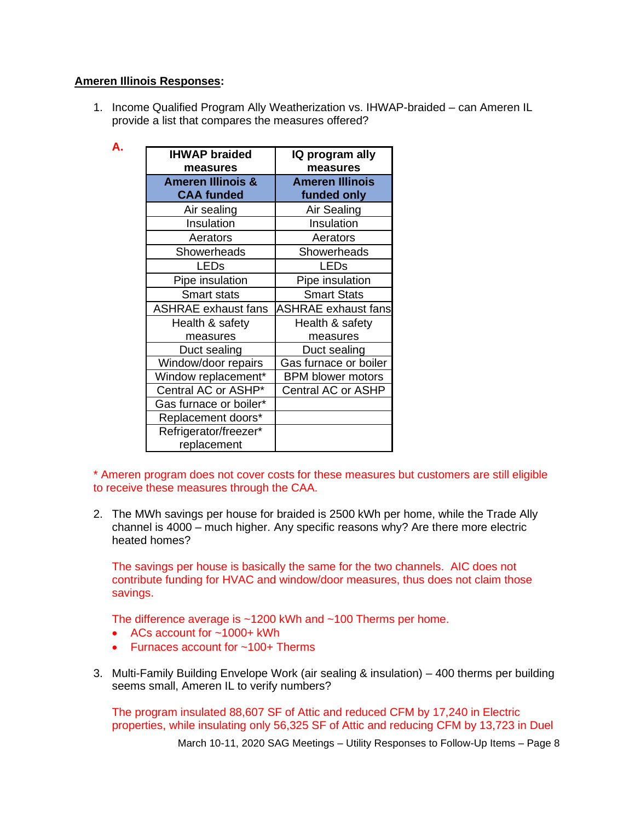### **Ameren Illinois Responses:**

1. Income Qualified Program Ally Weatherization vs. IHWAP-braided – can Ameren IL provide a list that compares the measures offered?

| <b>IHWAP braided</b><br>measures                  | IQ program ally<br>measures           |  |
|---------------------------------------------------|---------------------------------------|--|
| <b>Ameren Illinois &amp;</b><br><b>CAA funded</b> | <b>Ameren Illinois</b><br>funded only |  |
| Air sealing                                       | Air Sealing                           |  |
| Insulation                                        | Insulation                            |  |
| Aerators                                          | Aerators                              |  |
| Showerheads                                       | Showerheads                           |  |
| <b>LEDs</b>                                       | <b>LEDs</b>                           |  |
| Pipe insulation                                   | Pipe insulation                       |  |
| <b>Smart stats</b>                                | <b>Smart Stats</b>                    |  |
| <b>ASHRAE</b> exhaust fans                        | <b>ASHRAE exhaust fans</b>            |  |
| Health & safety                                   | Health & safety                       |  |
| measures                                          | measures                              |  |
| Duct sealing                                      | Duct sealing                          |  |
| Window/door repairs                               | Gas furnace or boiler                 |  |
| Window replacement*                               | <b>BPM blower motors</b>              |  |
| Central AC or ASHP*                               | <b>Central AC or ASHP</b>             |  |
| Gas furnace or boiler*                            |                                       |  |
| Replacement doors*                                |                                       |  |
| Refrigerator/freezer*                             |                                       |  |
| replacement                                       |                                       |  |

\* Ameren program does not cover costs for these measures but customers are still eligible to receive these measures through the CAA.

2. The MWh savings per house for braided is 2500 kWh per home, while the Trade Ally channel is 4000 – much higher. Any specific reasons why? Are there more electric heated homes?

The savings per house is basically the same for the two channels. AIC does not contribute funding for HVAC and window/door measures, thus does not claim those savings.

The difference average is ~1200 kWh and ~100 Therms per home.

- ACs account for  $\approx 1000+$  kWh
- Furnaces account for ~100+ Therms
- 3. Multi-Family Building Envelope Work (air sealing & insulation) 400 therms per building seems small, Ameren IL to verify numbers?

The program insulated 88,607 SF of Attic and reduced CFM by 17,240 in Electric properties, while insulating only 56,325 SF of Attic and reducing CFM by 13,723 in Duel

March 10-11, 2020 SAG Meetings – Utility Responses to Follow-Up Items – Page 8

**A.**